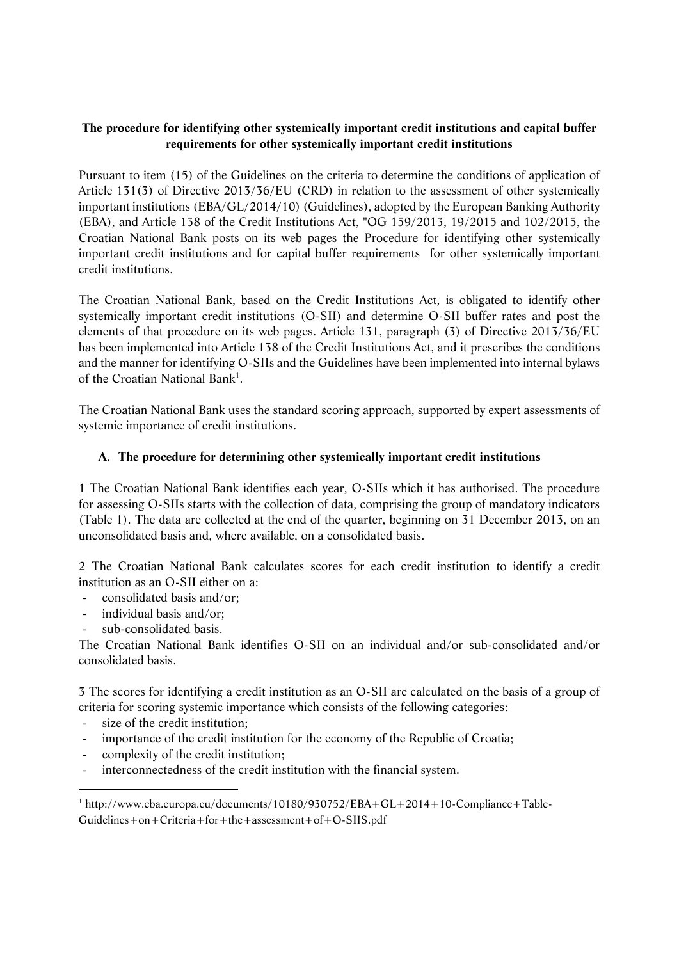# **The procedure for identifying other systemically important credit institutions and capital buffer requirements for other systemically important credit institutions**

Pursuant to item (15) of the Guidelines on the criteria to determine the conditions of application of Article 131(3) of Directive 2013/36/EU (CRD) in relation to the assessment of other systemically important institutions (EBA/GL/2014/10) (Guidelines), adopted by the European Banking Authority (EBA), and Article 138 of the Credit Institutions Act, "OG 159/2013, 19/2015 and 102/2015, the Croatian National Bank posts on its web pages the Procedure for identifying other systemically important credit institutions and for capital buffer requirements for other systemically important credit institutions.

The Croatian National Bank, based on the Credit Institutions Act, is obligated to identify other systemically important credit institutions (O-SII) and determine O-SII buffer rates and post the elements of that procedure on its web pages. Article 131, paragraph (3) of Directive 2013/36/EU has been implemented into Article 138 of the Credit Institutions Act, and it prescribes the conditions and the manner for identifying O-SIIs and the Guidelines have been implemented into internal bylaws of the Croatian National Bank<sup>1</sup>.

The Croatian National Bank uses the standard scoring approach, supported by expert assessments of systemic importance of credit institutions.

# **A. The procedure for determining other systemically important credit institutions**

1 The Croatian National Bank identifies each year, O-SIIs which it has authorised. The procedure for assessing O-SIIs starts with the collection of data, comprising the group of mandatory indicators (Table 1). The data are collected at the end of the quarter, beginning on 31 December 2013, on an unconsolidated basis and, where available, on a consolidated basis.

2 The Croatian National Bank calculates scores for each credit institution to identify a credit institution as an O-SII either on a:

- consolidated basis and/or;
- individual basis and/or;
- sub-consolidated basis.

The Croatian National Bank identifies O-SII on an individual and/or sub-consolidated and/or consolidated basis.

3 The scores for identifying a credit institution as an O-SII are calculated on the basis of a group of criteria for scoring systemic importance which consists of the following categories:

- size of the credit institution;

-

- importance of the credit institution for the economy of the Republic of Croatia;
- complexity of the credit institution;
- interconnectedness of the credit institution with the financial system.

<sup>1</sup> http://www.eba.europa.eu/documents/10180/930752/EBA+GL+2014+10-Compliance+Table-Guidelines+on+Criteria+for+the+assessment+of+O-SIIS.pdf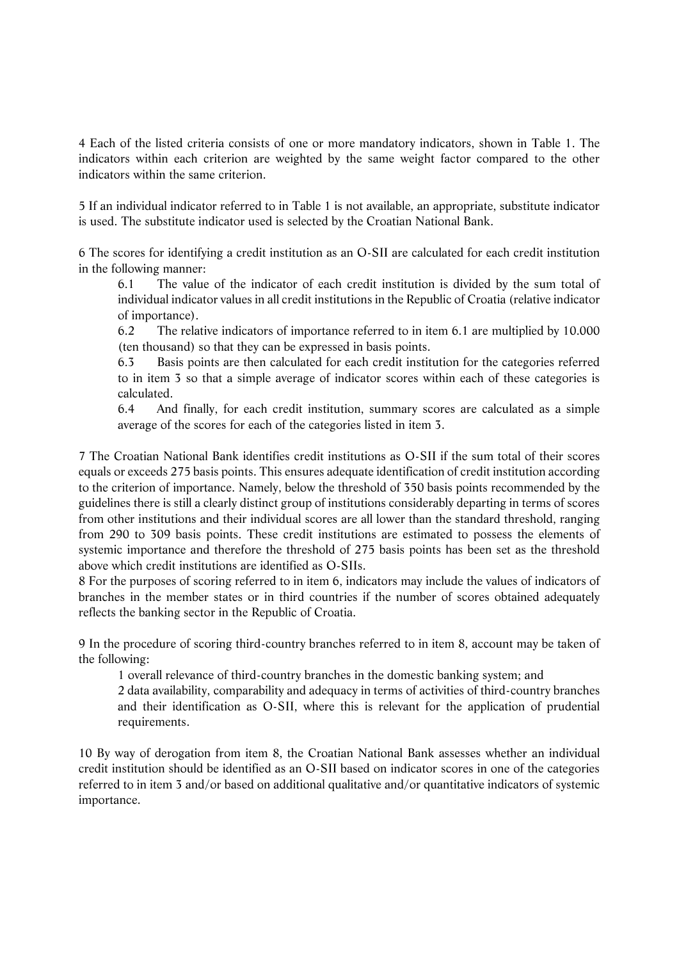4 Each of the listed criteria consists of one or more mandatory indicators, shown in Table 1. The indicators within each criterion are weighted by the same weight factor compared to the other indicators within the same criterion.

5 If an individual indicator referred to in Table 1 is not available, an appropriate, substitute indicator is used. The substitute indicator used is selected by the Croatian National Bank.

6 The scores for identifying a credit institution as an O-SII are calculated for each credit institution in the following manner:

6.1 The value of the indicator of each credit institution is divided by the sum total of individual indicator values in all credit institutions in the Republic of Croatia (relative indicator of importance).

6.2 The relative indicators of importance referred to in item 6.1 are multiplied by 10.000 (ten thousand) so that they can be expressed in basis points.

6.3 Basis points are then calculated for each credit institution for the categories referred to in item 3 so that a simple average of indicator scores within each of these categories is calculated.

6.4 And finally, for each credit institution, summary scores are calculated as a simple average of the scores for each of the categories listed in item 3.

7 The Croatian National Bank identifies credit institutions as O-SII if the sum total of their scores equals or exceeds 275 basis points. This ensures adequate identification of credit institution according to the criterion of importance. Namely, below the threshold of 350 basis points recommended by the guidelines there is still a clearly distinct group of institutions considerably departing in terms of scores from other institutions and their individual scores are all lower than the standard threshold, ranging from 290 to 309 basis points. These credit institutions are estimated to possess the elements of systemic importance and therefore the threshold of 275 basis points has been set as the threshold above which credit institutions are identified as O-SIIs.

8 For the purposes of scoring referred to in item 6, indicators may include the values of indicators of branches in the member states or in third countries if the number of scores obtained adequately reflects the banking sector in the Republic of Croatia.

9 In the procedure of scoring third-country branches referred to in item 8, account may be taken of the following:

1 overall relevance of third-country branches in the domestic banking system; and

2 data availability, comparability and adequacy in terms of activities of third-country branches and their identification as O-SII, where this is relevant for the application of prudential requirements.

10 By way of derogation from item 8, the Croatian National Bank assesses whether an individual credit institution should be identified as an O-SII based on indicator scores in one of the categories referred to in item 3 and/or based on additional qualitative and/or quantitative indicators of systemic importance.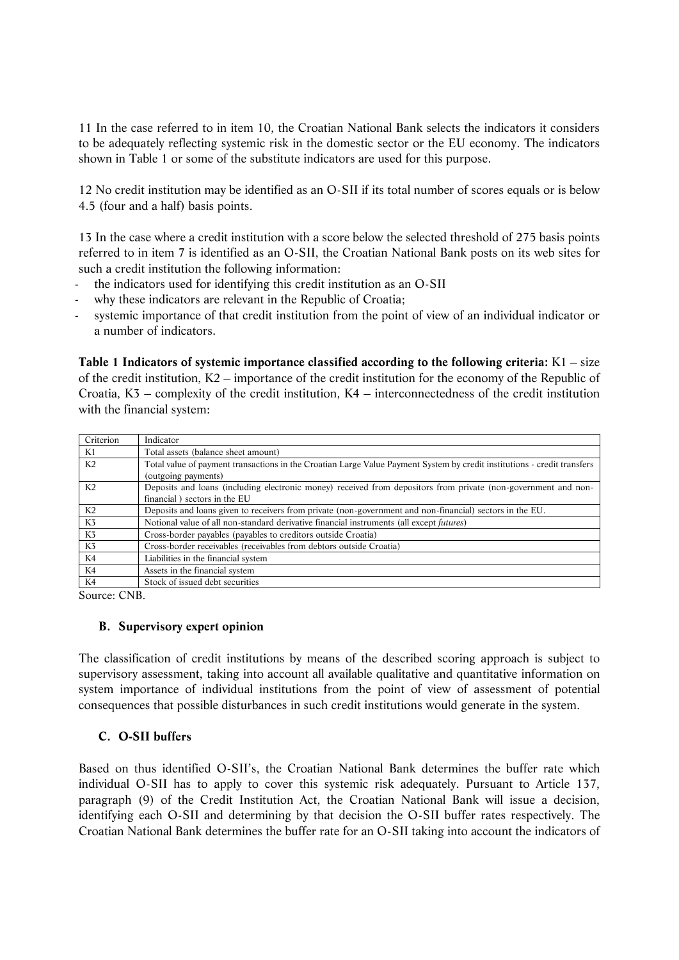11 In the case referred to in item 10, the Croatian National Bank selects the indicators it considers to be adequately reflecting systemic risk in the domestic sector or the EU economy. The indicators shown in Table 1 or some of the substitute indicators are used for this purpose.

12 No credit institution may be identified as an O-SII if its total number of scores equals or is below 4.5 (four and a half) basis points.

13 In the case where a credit institution with a score below the selected threshold of 275 basis points referred to in item 7 is identified as an O-SII, the Croatian National Bank posts on its web sites for such a credit institution the following information:

- the indicators used for identifying this credit institution as an O-SII
- why these indicators are relevant in the Republic of Croatia;
- systemic importance of that credit institution from the point of view of an individual indicator or a number of indicators.

**Table 1 Indicators of systemic importance classified according to the following criteria:** K1 – size of the credit institution, K2 – importance of the credit institution for the economy of the Republic of Croatia, K3 – complexity of the credit institution, K4 – interconnectedness of the credit institution with the financial system:

| Criterion      | Indicator                                                                                                                |
|----------------|--------------------------------------------------------------------------------------------------------------------------|
| K1             | Total assets (balance sheet amount)                                                                                      |
| K <sub>2</sub> | Total value of payment transactions in the Croatian Large Value Payment System by credit institutions - credit transfers |
|                | (outgoing payments)                                                                                                      |
| K <sub>2</sub> | Deposits and loans (including electronic money) received from depositors from private (non-government and non-           |
|                | financial) sectors in the EU                                                                                             |
| K2             | Deposits and loans given to receivers from private (non-government and non-financial) sectors in the EU.                 |
| K <sub>3</sub> | Notional value of all non-standard derivative financial instruments (all except <i>futures</i> )                         |
| K <sub>3</sub> | Cross-border payables (payables to creditors outside Croatia)                                                            |
| K <sub>3</sub> | Cross-border receivables (receivables from debtors outside Croatia)                                                      |
| K4             | Liabilities in the financial system                                                                                      |
| K4             | Assets in the financial system                                                                                           |
| K4             | Stock of issued debt securities                                                                                          |

Source: CNB.

### **B. Supervisory expert opinion**

The classification of credit institutions by means of the described scoring approach is subject to supervisory assessment, taking into account all available qualitative and quantitative information on system importance of individual institutions from the point of view of assessment of potential consequences that possible disturbances in such credit institutions would generate in the system.

### **C. O-SII buffers**

Based on thus identified O-SII's, the Croatian National Bank determines the buffer rate which individual O-SII has to apply to cover this systemic risk adequately. Pursuant to Article 137, paragraph (9) of the Credit Institution Act, the Croatian National Bank will issue a decision, identifying each O-SII and determining by that decision the O-SII buffer rates respectively. The Croatian National Bank determines the buffer rate for an O-SII taking into account the indicators of